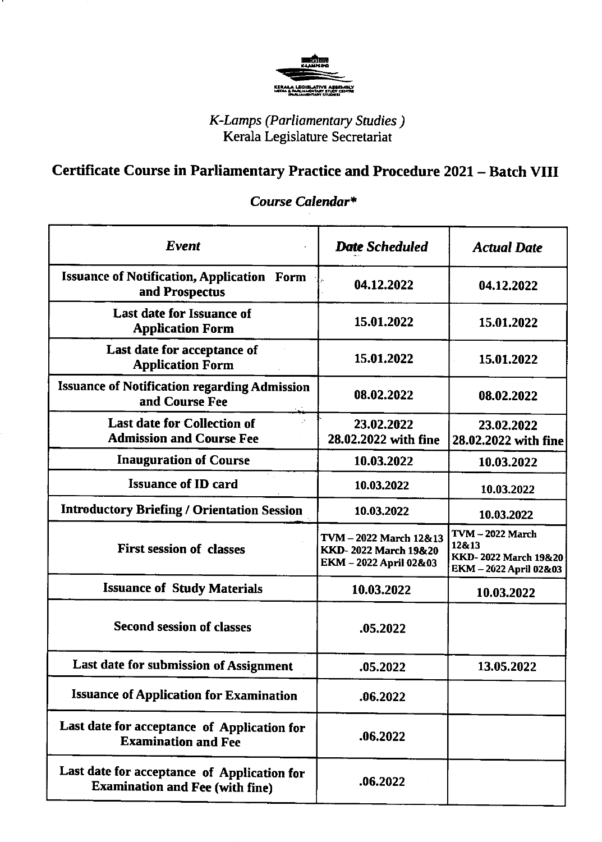

## K-Lomps (Parliamentary Srudies ) Kerala Legislature Secretariat

## Certificate Course in Parliamentary Practice and Procedure 2021 - Batch VIII

## Event **Date Scheduled** Actual Date Issuance of Notification, Application Form and Prospectus **19th Collection** 19th 19th 12.2022 **04.12.2022** Last date for Issuance of Application Form 15.01.2022 15.01.2022 Last date for acceptance of Application Form 15.01.2022 15.01.2022 Issuance of Notification regarding Admission and Course Fee **08.02.2022** 08.02.2022 Last date for Collection of Admission and Course Fee 23.02.2022 28.02.2022 with fine 23.02.2022 28.02.2022 with fine Inauguration of Course 10.03.2022 10.03.2022 **Issuance of ID card 10.03.2022** 10.03.2022 10.03.2022 Introductory Briefing / Orientation Session 10.03.2022 10.03.2022 First session of classes TVM - 2022 March 12&13 KKD- 2022 March 19&20 EKM - 2022 April 02&03 TVM - 2022 March 12&13 KKD- 2022 March 19&20 EKM - 2022 April 02&03 **Issuance of Study Materials 10.03.2022** 10.03.2022 Second session of classes **.05.2022** Last date for submission of Assignment  $\vert$  .05.2022  $\vert$  13.05.2022 Issuance of Application for Examination .06.2022 Last date for acceptance of Application for Examination and Fee .06.2022 Last date for acceptance of Application for Examination and Fee (with fine) .06.2022

## Course Calendar\*